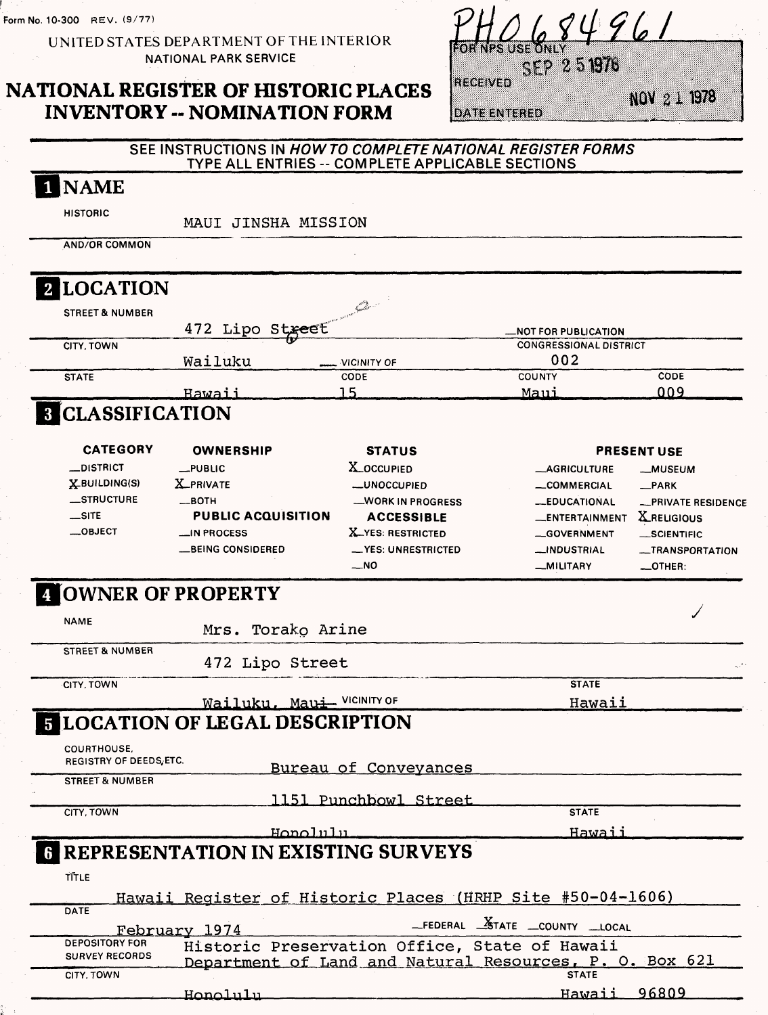Form No. 10-300 REV. (9/77)

UNITED STATES DEPARTMENT OF THE INTERIOR NATIONAL PARK SERVICE

## **NATIONAL REGISTER OF HISTORIC PLACES INVENTORY -- NOMINATION FORM**

|         | $YHOL$ 8496 |                       |         |             |
|---------|-------------|-----------------------|---------|-------------|
|         |             | $\sim$ 7 $\sim$ 51976 |         |             |
| EGE WED |             |                       | 7986372 | ‱ (s)ø ¿° i |

**DATE ENTERED** 

#### **SEE INSTRUCTIONS IN HOWTO COMPLETE NATIONAL REGISTER FORMS**  TYPE ALL ENTRIES -- COMPLETE APPLICABLE SECTIONS

| 1 NAME                         |                                                            |                                                         |                                                              |                                          |
|--------------------------------|------------------------------------------------------------|---------------------------------------------------------|--------------------------------------------------------------|------------------------------------------|
| <b>HISTORIC</b>                | MAUI JINSHA MISSION                                        |                                                         |                                                              |                                          |
| <b>AND/OR COMMON</b>           |                                                            |                                                         |                                                              |                                          |
| 2 LOCATION                     |                                                            |                                                         |                                                              |                                          |
| <b>STREET &amp; NUMBER</b>     |                                                            | an Carthau                                              |                                                              |                                          |
| CITY, TOWN                     | 472 Lipo Street                                            |                                                         | <b>_NOT FOR PUBLICATION</b><br><b>CONGRESSIONAL DISTRICT</b> |                                          |
|                                | Wailuku                                                    | VICINITY OF                                             | 002                                                          |                                          |
| <b>STATE</b>                   | <u>Hawaii</u>                                              | CODE<br>15                                              | <b>COUNTY</b><br>Maui                                        | CODE<br>009                              |
| <b>8 CLASSIFICATION</b>        |                                                            |                                                         |                                                              |                                          |
| <b>CATEGORY</b>                | <b>OWNERSHIP</b>                                           | <b>STATUS</b>                                           |                                                              | <b>PRESENT USE</b>                       |
| _DISTRICT                      | $_{\text{-}}$ PUBLIC                                       | X_OCCUPIED                                              | <b>__AGRICULTURE</b>                                         | __MUSEUM                                 |
| X-BUILDING(S)<br>_STRUCTURE    | <b>X_PRIVATE</b><br>$\equiv$ BOTH                          | <b>__UNOCCUPIED</b>                                     | __COMMERCIAL                                                 | $R$ PARK                                 |
| $\equiv$ SITE                  | <b>PUBLIC ACQUISITION</b>                                  | _WORK IN PROGRESS<br><b>ACCESSIBLE</b>                  | -EDUCATIONAL<br><b>_ENTERTAINMENT</b>                        | -PRIVATE RESIDENCE<br><b>X</b> RELIGIOUS |
| $\_$ OBJECT                    | _IN PROCESS                                                | X_YES: RESTRICTED                                       | <b>__GOVERNMENT</b>                                          | __SCIENTIFIC                             |
|                                | __BEING CONSIDERED                                         | - YES: UNRESTRICTED                                     | <b>__INDUSTRIAL</b>                                          | <b>__TRANSPORTATION</b>                  |
|                                |                                                            | __NO                                                    | __MILITARY                                                   | _OTHER:                                  |
|                                | <b>4 OWNER OF PROPERTY</b>                                 |                                                         |                                                              |                                          |
| <b>NAME</b>                    | Mrs. Torako Arine                                          |                                                         |                                                              |                                          |
| <b>STREET &amp; NUMBER</b>     | 472 Lipo Street                                            |                                                         |                                                              |                                          |
| <b>CITY, TOWN</b>              |                                                            |                                                         | <b>STATE</b>                                                 |                                          |
|                                | Wailuku, Maui- VICINITY OF                                 |                                                         | Hawaii                                                       |                                          |
|                                | <b>FLOCATION OF LEGAL DESCRIPTION</b>                      |                                                         |                                                              |                                          |
| <b>COURTHOUSE</b> ,            |                                                            |                                                         |                                                              |                                          |
| <b>REGISTRY OF DEEDS, ETC.</b> |                                                            | Bureau of Conveyances                                   |                                                              |                                          |
| <b>STREET &amp; NUMBER</b>     |                                                            |                                                         |                                                              |                                          |
| CITY, TOWN                     |                                                            | 1151 Punchbowl Street                                   | <b>STATE</b>                                                 |                                          |
|                                | Honolulu                                                   |                                                         | Hawaii                                                       |                                          |
|                                | <b>G REPRESENTATION IN EXISTING SURVEYS</b>                |                                                         |                                                              |                                          |
| TITLE                          |                                                            |                                                         |                                                              |                                          |
|                                |                                                            |                                                         |                                                              |                                          |
| DATE                           | Hawaii Register of Historic Places (HRHP Site #50-04-1606) |                                                         |                                                              |                                          |
|                                | February 1974                                              |                                                         | _FEDERAL _STATE _COUNTY _LOCAL                               |                                          |
| <b>DEPOSITORY FOR</b>          |                                                            | Historic Preservation Office, State of Hawaii           |                                                              |                                          |
| <b>SURVEY RECORDS</b>          |                                                            | Department of Land and Natural Resources, P. O. Box 621 |                                                              |                                          |
| CITY, TOWN                     |                                                            |                                                         | <b>STATE</b>                                                 |                                          |
|                                | Honolulu                                                   |                                                         | <u>Hawaii -</u>                                              | 96809                                    |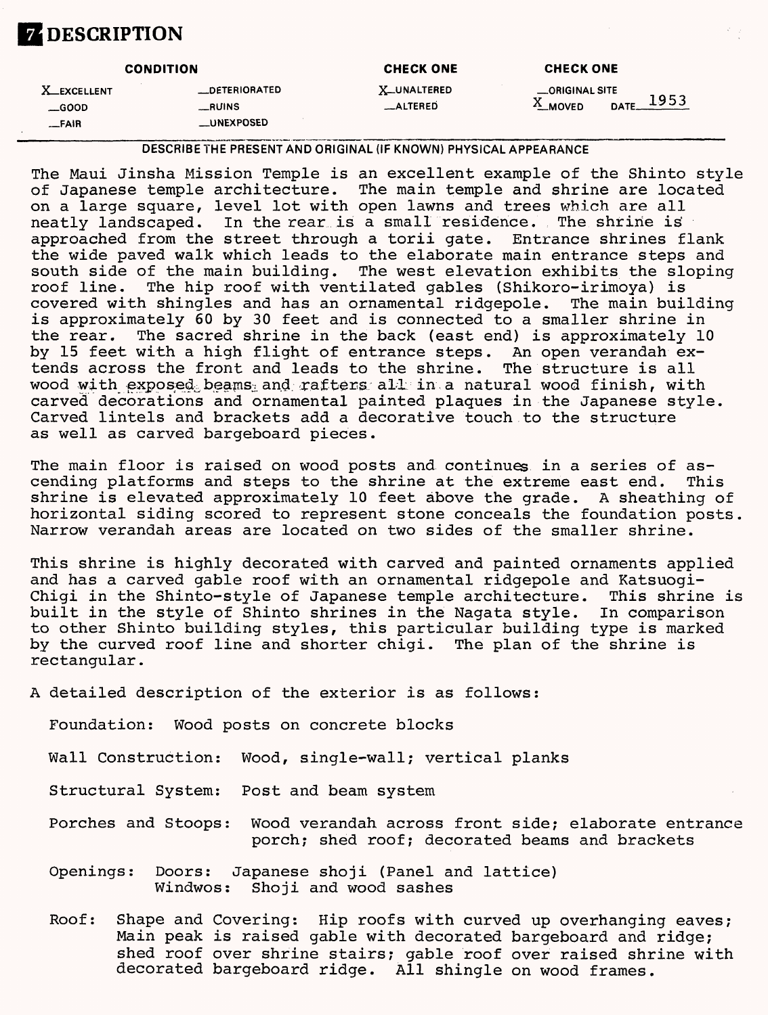# **ZDESCRIPTION**

| <b>CONDITION</b>                    |                                  | <b>CHECK ONE</b>               | <b>CHECK ONE</b>                                   |
|-------------------------------------|----------------------------------|--------------------------------|----------------------------------------------------|
| <b>X_EXCELLENT</b><br>$\equiv$ GOOD | <b>__DETERIORATED</b><br>__RUINS | <b>X_UNALTERED</b><br>_ALTERED | _ORIGINAL SITE<br>1953<br>DATF<br>$^{\circ}$ MOVED |
| _FAIR                               | <b>LUNEXPOSED</b>                |                                |                                                    |

DESCRIBE THE PRESENT AND ORIGINAL (IF KNOWN) PHYSICAL APPEARANCE

The Maui Jinsha Mission Temple is an excellent example of the Shinto style of Japanese temple architecture. The main temple and shrine are located on a large square, level lot with open lawns and trees which are all neatly landscaped. In the rear is a small residence. The shrine is<br>approached from the street through a torii gate. Entrance shrines flank approached from the street through a torii gate. the wide paved walk which leads to the elaborate main entrance steps and south side of the main building. The west elevation exhibits the sloping<br>roof line. The hip roof with ventilated gables (Shikoro-irimova) is The hip roof with ventilated gables (Shikoro-irimoya) is<br>Intingles and has an ornamental ridgepole. The main building covered with shingles and has an ornamental ridgepole. is approximately 60 by 30 feet and is connected to a smaller shrine in the rear. The sacred shrine in the back (east end) is approximately 10 by 15 feet with a high flight of entrance steps. An open verandah extends across the front and leads to the shrine. The structure is all wood with exposed beams and rafters all in a natural wood finish, with carved decorations and ornamental painted plaques in the Japanese style. Carved lintels and brackets add a decorative touch to the structure as well as carved bargeboard pieces.

The main floor is raised on wood posts and continues in a series of as-<br>cending platforms and steps to the shrine at the extreme east end. This cending platforms and steps to the shrine at the extreme east end. shrine is elevated approximately 10 feet above the grade. A sheathing of horizontal siding scored to represent stone conceals the foundation posts. Narrow verandah areas are located on two sides of the smaller shrine.

This shrine is highly decorated with carved and painted ornaments applied and has a carved gable roof with an ornamental ridgepole and Katsuogi-<br>Chigi in the Shinto-style of Japanese temple architecture. This shrine is Chigi in the Shinto-style of Japanese temple architecture. built in the style of Shinto shrines in the Nagata style. In comparison to other Shinto building styles, this particular building type is marked by the curved roof line and shorter chigi. The plan of the shrine is rectangular.

A detailed description of the exterior is as follows:

Foundation: Wood posts on concrete blocks

Wall Construction: Wood, single-wall; vertical planks

Structural System: Post and beam system

- Porches and Stoops: Wood verandah across front side; elaborate entrance porch; shed roof; decorated beams and brackets
- Openings: Doors: Japanese shoji (Panel and lattice) Windwos: Shoji and wood sashes
- Roof: Shape and Covering: Hip roofs with curved up overhanging eaves; Main peak is raised gable with decorated bargeboard and ridge; shed roof over shrine stairs; gable roof over raised shrine with decorated bargeboard ridge. All shingle on wood frames.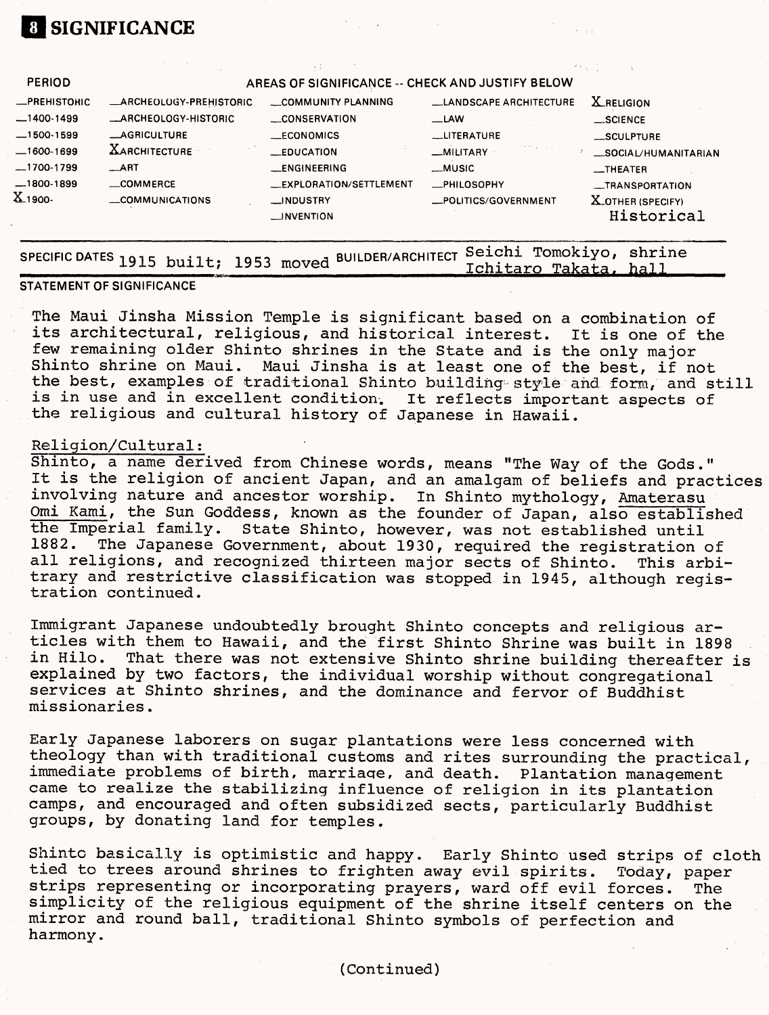## **1 SIGNIFICANCE**

| <b>PERIOD</b>                       |                                                 | AREAS OF SIGNIFICANCE -- CHECK AND JUSTIFY BELOW |                                     |                                                          |
|-------------------------------------|-------------------------------------------------|--------------------------------------------------|-------------------------------------|----------------------------------------------------------|
| <b>_PREHISTORIC</b><br>$-1400-1499$ | _ARCHEOLOGY-PREHISTORIC<br>_ARCHEOLOGY-HISTORIC | COMMUNITY PLANNING<br><b>CONSERVATION</b>        | LANDSCAPE ARCHITECTURE<br>$-LAW$    | <b>X</b> RELIGION<br>$\_$ SCIENCE                        |
| $-1500-1599$                        | <b>_AGRICULTURE</b>                             | __ECONOMICS                                      | __LITERATURE                        | __SCULPTURE                                              |
| $-1600-1699$<br>$-1700-1799$        | <b>XARCHITECTURE</b><br>$\_ART$                 | $\_EDUCATION$<br><b>LENGINEERING</b>             | _MILITARY<br>_MUSIC                 | _SOCIAL/HUMANITARIAN<br>$\overline{\phantom{0}}$ THEATER |
| $-1800 - 1899$<br>$X_{.1900}$       | _COMMERCE<br>COMMUNICATIONS                     | <b>LEXPLORATION/SETTLEMENT</b><br><b>MDUSTRY</b> | -PHILOSOPHY<br>_POLITICS/GOVERNMENT | _TRANSPORTATION<br><b>X_OTHER (SPECIFY)</b>              |
|                                     |                                                 | $\Box$ INVENTION                                 |                                     | Historical                                               |

| PECIFIC DATES 1915 built; 1953 moved BUILDER/ARCHITECT Seichi Tomokiyo, shrine<br>Ichitaro Takata, hall |  |  |  |  |
|---------------------------------------------------------------------------------------------------------|--|--|--|--|
|                                                                                                         |  |  |  |  |

#### **STATEMENT OF SIGNIFICANCE**

The Maui Jinsha Mission Temple is significant based on a combination of its architectural, religious, and historical interest. It is one of the few remaining older Shinto shrines in the State and is the only major Shinto shrine on Maui. Maui Jinsha is at least one of the best, if not the best, examples of traditional Shinto building style and form, and still is in use and in excellent condition. It reflects important aspects of the religious and cultural history of Japanese in Hawaii.

#### Religion/Cultural;

Shinto, a name derived from Chinese words, means "The Way of the Gods." It is the religion of ancient Japan, and an amalgam of beliefs and practices involving nature and ancestor worship. In Shinto mythology, Amaterasu Omi Kami, the Sun Goddess, known as the founder of Japan, also established the Imperial family. State Shinto, however, was not established until 1882. The Japanese Government, about 1930, required the registration of all religions, and recognized thirteen major sects of Shinto. This arbitrary and restrictive classification was stopped in 1945, although registration continued.

Immigrant Japanese undoubtedly brought Shinto concepts and religious articles with them to Hawaii, and the first Shinto Shrine was built in 1898<br>in Hilo. That there was not extensive Shinto shrine building thereafter That there was not extensive Shinto shrine building thereafter is explained by two factors, the individual worship without congregational services at Shinto shrines, and the dominance and fervor of Buddhist missionaries.

Early Japanese laborers on sugar plantations were less concerned with theology than with traditional customs and rites surrounding the practical, immediate problems of birth, marriaqe, and death. Plantation management came to realize the stabilizing influence of religion in its plantation camps, and encouraged and often subsidized sects, particularly Buddhist groups, by donating land for temples.

Shinto basically is optimistic and happy. Early Shinto used strips of cloth tied to trees around shrines to frighten away evil spirits. Today, paper strips representing or incorporating prayers, ward off evil forces. The simplicity of the religious equipment of the shrine itself centers on the mirror and round ball, traditional Shinto symbols of perfection and harmony.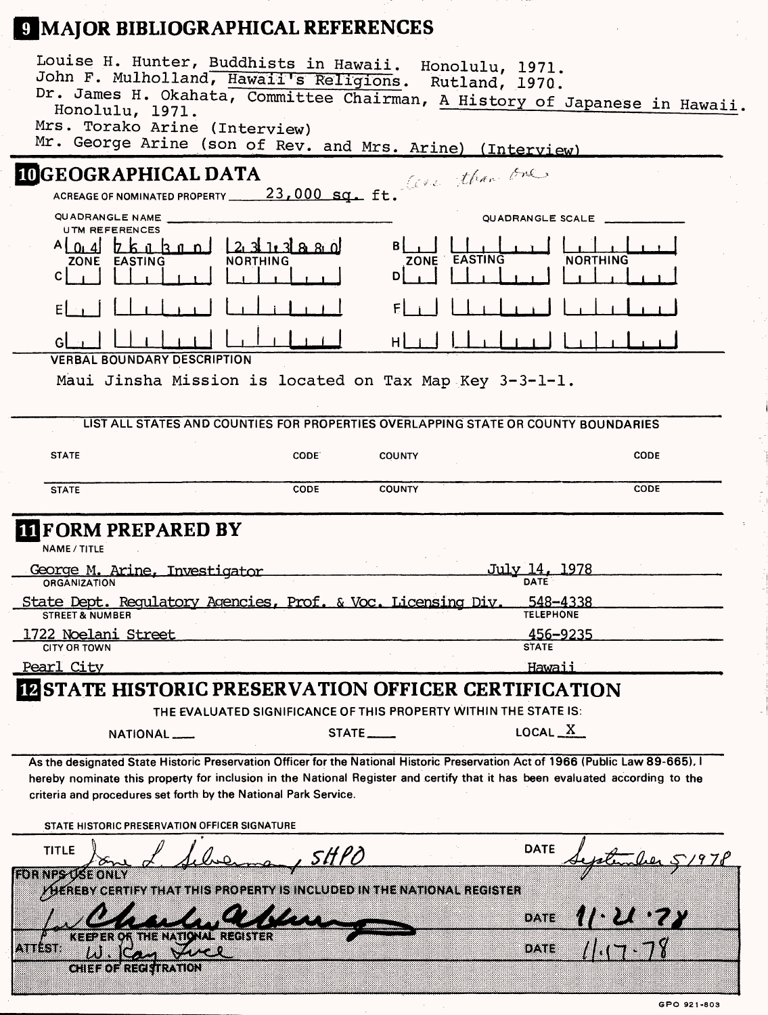# **MAJOR BIBLIOGRAPHICAL REFERENCES**

| Louise H. Hunter, Buddhists in Hawaii. Honolulu, 1971.<br>John F. Mulholland, Hawaii's Religions. Rutland, 1970.<br>Dr. James H. Okahata, Committee Chairman, A History of Japanese in Hawaii<br>Honolulu, 1971.                                                                                                                   |                                                                                    |                                             |                                     |             |
|------------------------------------------------------------------------------------------------------------------------------------------------------------------------------------------------------------------------------------------------------------------------------------------------------------------------------------|------------------------------------------------------------------------------------|---------------------------------------------|-------------------------------------|-------------|
| Mrs. Torako Arine (Interview)<br>Mr. George Arine (son of Rev. and Mrs. Arine) (Interview)                                                                                                                                                                                                                                         |                                                                                    |                                             |                                     |             |
| IOGEOGRAPHICAL DATA<br>ACREAGE OF NOMINATED PROPERTY 23,000 $sg_{\bullet}$ ft. $t^{(n+1)/n}$                                                                                                                                                                                                                                       |                                                                                    |                                             |                                     |             |
| QUADRANGLE NAME<br><b>UTM REFERENCES</b>                                                                                                                                                                                                                                                                                           |                                                                                    |                                             | QUADRANGLE SCALE                    |             |
| $A$ $0$ , $4$ $R$ $R$ $n$ $R$ $n$ $n$<br>ZONE EASTING<br>C.                                                                                                                                                                                                                                                                        | 2.3113880<br><b>NORTHING</b>                                                       | ZONE EASTING<br>D                           | <b>NORTHING</b>                     |             |
|                                                                                                                                                                                                                                                                                                                                    |                                                                                    |                                             |                                     |             |
| Gl                                                                                                                                                                                                                                                                                                                                 |                                                                                    | нI                                          |                                     |             |
| <b>VERBAL BOUNDARY DESCRIPTION</b>                                                                                                                                                                                                                                                                                                 |                                                                                    |                                             |                                     |             |
| Maui Jinsha Mission is located on Tax Map Key 3-3-1-1.                                                                                                                                                                                                                                                                             |                                                                                    |                                             |                                     |             |
|                                                                                                                                                                                                                                                                                                                                    | LIST ALL STATES AND COUNTIES FOR PROPERTIES OVERLAPPING STATE OR COUNTY BOUNDARIES |                                             |                                     |             |
| <b>STATE</b>                                                                                                                                                                                                                                                                                                                       | CODE.                                                                              | <b>COUNTY</b>                               |                                     | <b>CODE</b> |
| <b>STATE</b>                                                                                                                                                                                                                                                                                                                       | CODE                                                                               | <b>COUNTY</b>                               |                                     | <b>CODE</b> |
| <b>IT FORM PREPARED BY</b>                                                                                                                                                                                                                                                                                                         |                                                                                    |                                             |                                     |             |
| NAME / TITLE                                                                                                                                                                                                                                                                                                                       |                                                                                    |                                             |                                     |             |
| George M. Arine, Investigator<br><b>ORGANIZATION</b>                                                                                                                                                                                                                                                                               |                                                                                    |                                             | <u>July 14, 1978</u><br>DATE        |             |
| State Dept. Requlatory Agencies, Prof. & Voc. Licensing Div.<br><b>STREET &amp; NUMBER</b>                                                                                                                                                                                                                                         |                                                                                    |                                             | <u>548–4338</u><br><b>TELEPHONE</b> |             |
| 1722 Noelani Street                                                                                                                                                                                                                                                                                                                |                                                                                    |                                             | 456-9235                            |             |
| CITY OR TOWN<br>Pearl City                                                                                                                                                                                                                                                                                                         |                                                                                    |                                             | <b>STATE</b><br><u>Hawaii</u>       |             |
| <b>ØSTATE HISTORIC PRESERVATION OFFICER CERTIFICATION</b>                                                                                                                                                                                                                                                                          |                                                                                    |                                             |                                     |             |
|                                                                                                                                                                                                                                                                                                                                    | THE EVALUATED SIGNIFICANCE OF THIS PROPERTY WITHIN THE STATE IS:                   |                                             |                                     |             |
| NATIONAL__                                                                                                                                                                                                                                                                                                                         |                                                                                    | STATE                                       | LOCAL $X$                           |             |
| As the designated State Historic Preservation Officer for the National Historic Preservation Act of 1966 (Public Law 89-665), I<br>hereby nominate this property for inclusion in the National Register and certify that it has been evaluated according to the<br>criteria and procedures set forth by the National Park Service. |                                                                                    |                                             |                                     |             |
| STATE HISTORIC PRESERVATION OFFICER SIGNATURE                                                                                                                                                                                                                                                                                      |                                                                                    |                                             |                                     |             |
| <b>TITLE</b>                                                                                                                                                                                                                                                                                                                       | <i>SHPO</i>                                                                        |                                             | <b>DATE</b>                         |             |
| 39RNE-ZESERINN<br><b><i>VHEREBY CERTIFY THAT THIS</i></b>                                                                                                                                                                                                                                                                          |                                                                                    | OPERTY IS INCLUDED IN THE NATIONAL REGISTER |                                     |             |
|                                                                                                                                                                                                                                                                                                                                    |                                                                                    |                                             | oane                                |             |
| .8817.18                                                                                                                                                                                                                                                                                                                           |                                                                                    |                                             | DAIE                                |             |
| te: Ha atolat : la de Konten (9).                                                                                                                                                                                                                                                                                                  |                                                                                    |                                             |                                     |             |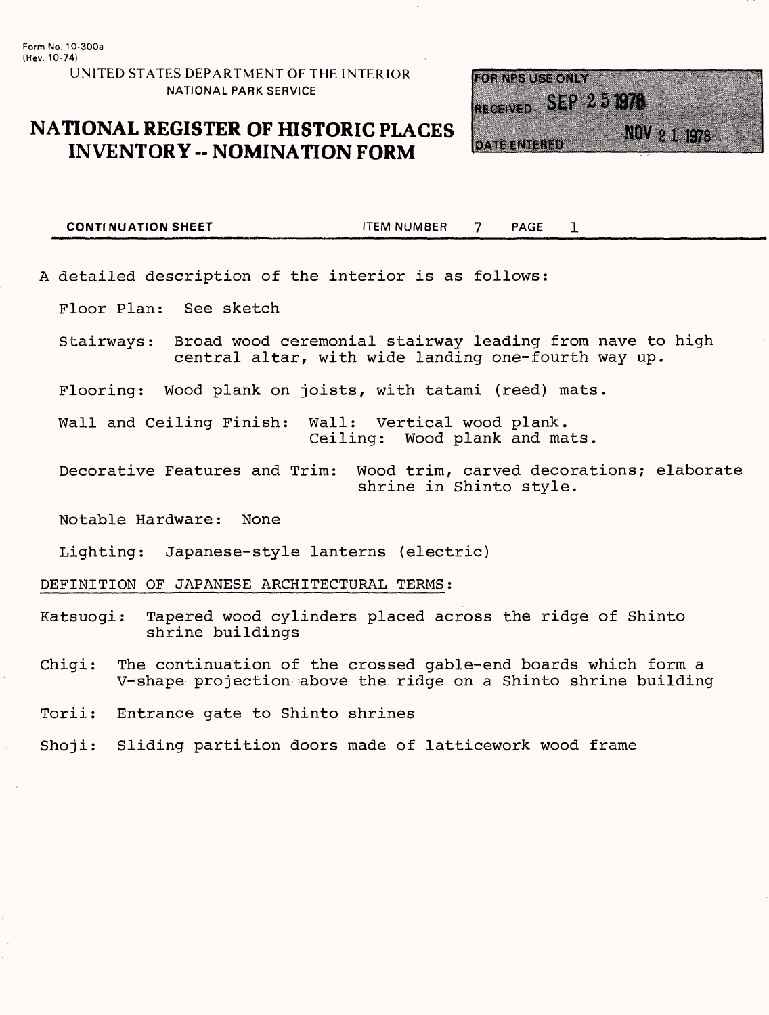#### **UNITED STATES DEPARTMENT OF THE INTERIOR NATIONAL PARK SERVICE**

## **NATIONAL REGISTER OF HISTORIC PLACES INVENTORY -- NOMINATION FORM**



**CONTINUATION SHEET ITEM NUMBER** 7 PAGE  $\mathbf{1}$ 

A detailed description of the interior is as follows:

Floor Plan: See sketch

Stairways: Broad wood ceremonial stairway leading from nave to high central altar, with wide landing one-fourth way up.

Flooring: Wood plank on joists, with tatami (reed) mats.

Wall and Ceiling Finish: Wall: Vertical wood plank. Wood plank and mats.

Decorative Features and Trim: Wood trim, carved decorations; elaborate shrine in Shinto style.

Notable Hardware: None

Lighting: Japanese-style lanterns (electric)

DEFINITION OF JAPANESE ARCHITECTURAL TERMS;

Katsuogi: Tapered wood cylinders placed across the ridge of Shinto shrine buildings

Chigi: The continuation of the crossed gable-end boards which form a V-shape projection >above the ridge on a Shinto shrine building

Torii: Entrance gate to Shinto shrines

Shoji: Sliding partition doors made of latticework wood frame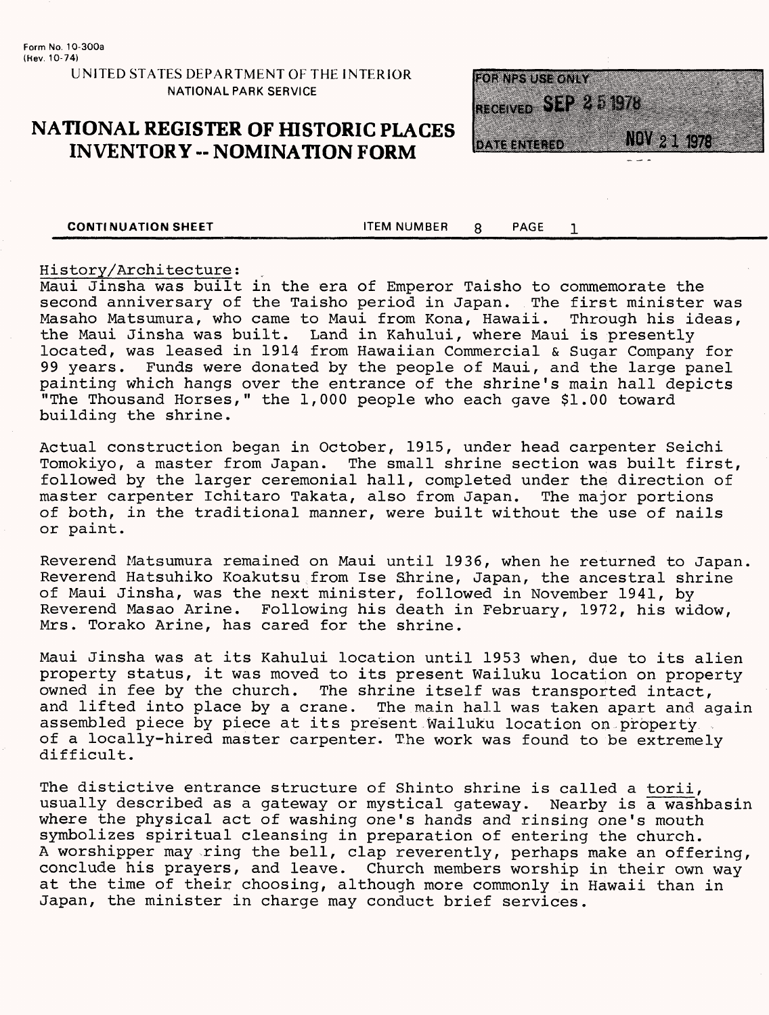#### **UNITED STATES DEPARTMENT OF THE INTERIOR NATIONAL PARK SERVICE**

### **NATIONAL REGISTER OF HISTORIC PLACES INVENTORY -- NOMINATION FORM**



**CONTINUATION SHEET ITEM NUMBER R** PAGE

 $\mathbf{1}$ 

#### History/Architecture;

Maui Jinsha was built in the era of Emperor Taisho to commemorate the second anniversary of the Taisho period in Japan. The first minister was<br>Masaho Matsumura, who came to Maui from Kona, Hawaii. Through his ideas, Masaho Matsumura, who came to Maui from Kona, Hawaii. the Maui Jinsha was built. Land in Kahului, where Maui is presently located, was leased in 1914 from Hawaiian Commercial & Sugar Company for 99 years. Funds were donated by the people of Maui, and the large panel painting which hangs over the entrance of the shrine's main hall depicts "The Thousand Horses," the 1,000 people who each gave \$1.00 toward building the shrine.

Actual construction began in October, 1915, under head carpenter Seichi Tomokiyo, a master from Japan. The small shrine section was built first, followed by the larger ceremonial hall, completed under the direction of master carpenter Ichitaro Takata, also from Japan. The major portions of both, in the traditional manner, were built without the use of nails or paint.

Reverend Matsumura remained on Maui until 1936, when he returned to Japan. Reverend Hatsuhiko Koakutsu from Ise Shrine, Japan, the ancestral shrine of Maui Jinsha, was the next minister, followed in November 1941, by Reverend Masao Arine. Following his death in February, 1972, his widow, Mrs. Torako Arine, has cared for the shrine.

Maui Jinsha was at its Kahului location until 1953 when, due to its alien property status, it was moved to its present Wailuku location on property owned in fee by the church. The shrine itself was transported intact, and lifted into place by a crane. The main hall was taken apart and again assembled piece by piece at its present Wailuku location on property of a locally-hired master carpenter. The work was found to be extremely difficult.

The distictive entrance structure of Shinto shrine is called a torii, usually described as a gateway or mystical gateway. Nearby is a washbasin where the physical act of washing one's hands and rinsing one's mouth symbolizes spiritual cleansing in preparation of entering the church. A worshipper may -ring the bell, clap reverently, perhaps make an offering, conclude his prayers, and leave. Church members worship in their own way at the time of their choosing, although more commonly in Hawaii than in Japan, the minister in charge may conduct brief services.